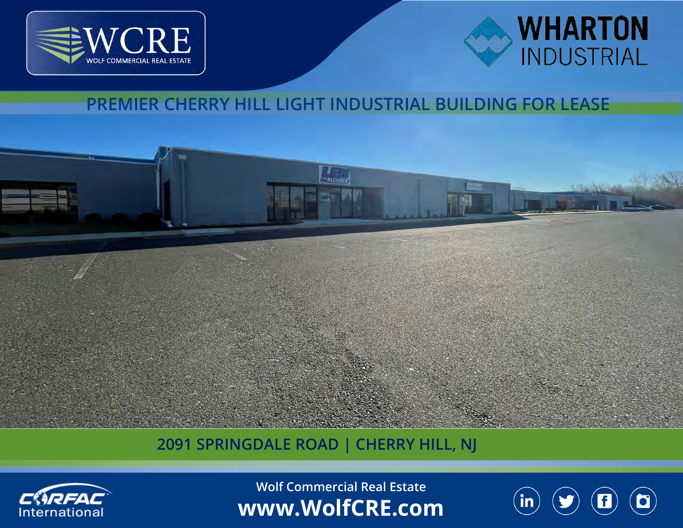



## **PREMIER CHERRY HILL LIGHT INDUSTRIAL BUILDING FOR LEASE**



## **2091 SPRINGDALE ROAD | CHERRY HILL, NJ**



**Wolf Commercial Real Estate www.WolfCRE.com**

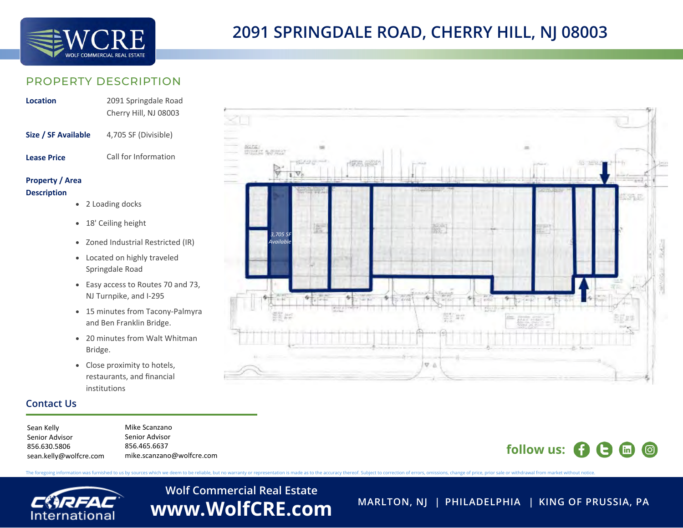

### PROPERTY DESCRIPTION

| Location            | 2091 Springdale Road<br>Cherry Hill, NJ 08003 |
|---------------------|-----------------------------------------------|
| Size / SF Available | 3,705 SF (Divisible)                          |
| <b>Lease Price</b>  | Call for Information                          |

### **Property / Area Description**

- 1 Loading docks
- 16' Ceiling height
- Zoned Industrial Restricted (IR)
- Located on highly traveled Springdale Road
- Easy access to Routes 70 and 73, NJ Turnpike, and I-295
- 15 minutes from Tacony-Palmyra and Ben Franklin Bridge.
- 20 minutes from Walt Whitman Bridge.
- Close proximity to hotels, restaurants, and financial institutions

### **Contact Us**

Mike Scanzano Senior Advisor 856.465.6637 mike.scanzano@wolfcre.com Sean Kelly Senior Advisor 856.630.5806 sean.kelly@wolfcre.com

Normal m. *3,705 SF Available* $\nabla \cdot \Delta$ 

## **follow us:**  $\bullet$   $\bullet$   $\bullet$   $\bullet$   $\bullet$

The foregoing information was furnished to us by sources which we deem to be reliable, but no warranty or representation is made as to the accuracy thereof. Subject to correction of errors, omissions, change of price, prio

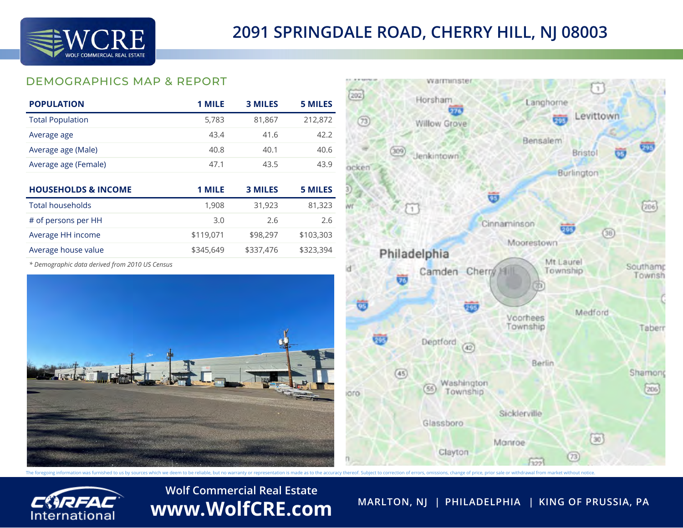

## DEMOGRAPHICS MAP & REPORT

| <b>POPULATION</b>       | 1 MILE | <b>3 MILES</b> | 5 MILES |
|-------------------------|--------|----------------|---------|
| <b>Total Population</b> | 5,783  | 81,867         | 212,872 |
| Average age             | 43.4   | 41.6           | 42.2    |
| Average age (Male)      | 40.8   | 40.1           | 40.6    |
| Average age (Female)    | 47.1   | 43.5           | 43.9    |

| <b>HOUSEHOLDS &amp; INCOME</b> | 1 MILE    | <b>3 MILES</b> | <b>5 MILES</b> |
|--------------------------------|-----------|----------------|----------------|
| Total households               | 1,908     | 31,923         | 81,323         |
| # of persons per HH            | 3.0       | 2.6            | 2.6            |
| Average HH income              | \$119,071 | \$98,297       | \$103,303      |
| Average house value            | \$345,649 | \$337,476      | \$323,394      |

*\* Demographic data derived from 2010 US Census*





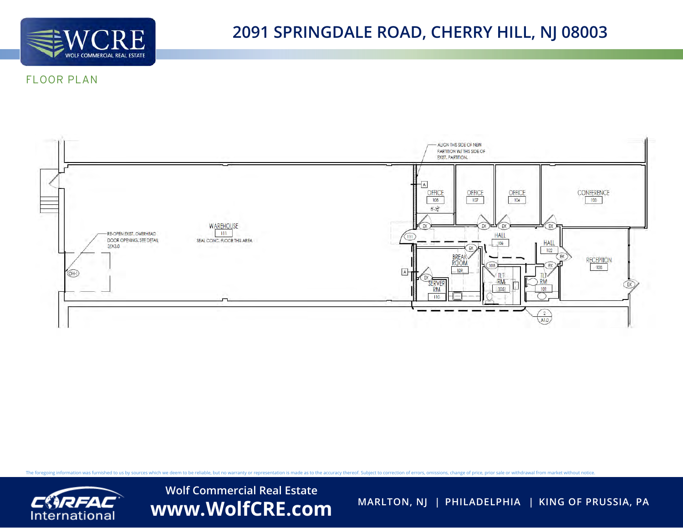

## **2091 SPRINGDALE ROAD, CHERRY HILL, NJ 08003**

### FLOOR PLAN



The foregoing information was furnished to us by sources which we deem to be reliable, but no warranty or representation is made as to the accuracy thereof. Subject to correction of errors, omissions, change of price, prio

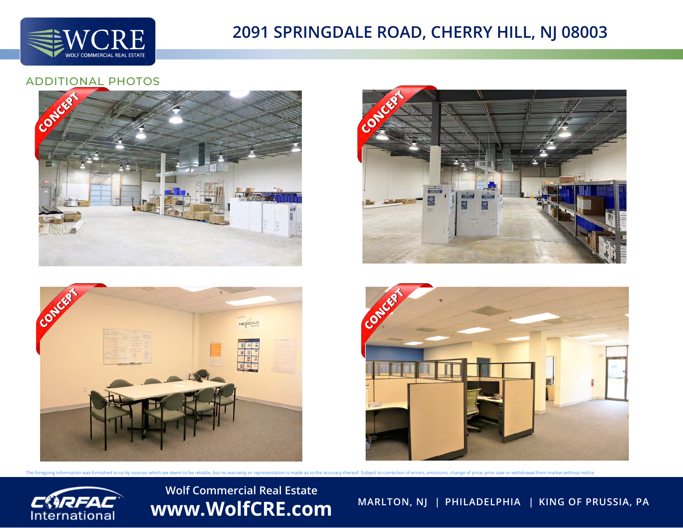

### ADDITIONAL PHOTOS

The foregoing information was furnished to us by sources which we deem to be reliable, but no warranty or representation is made as to the accuracy thereof. Subject to correction of errors, omissions, change of price, prio